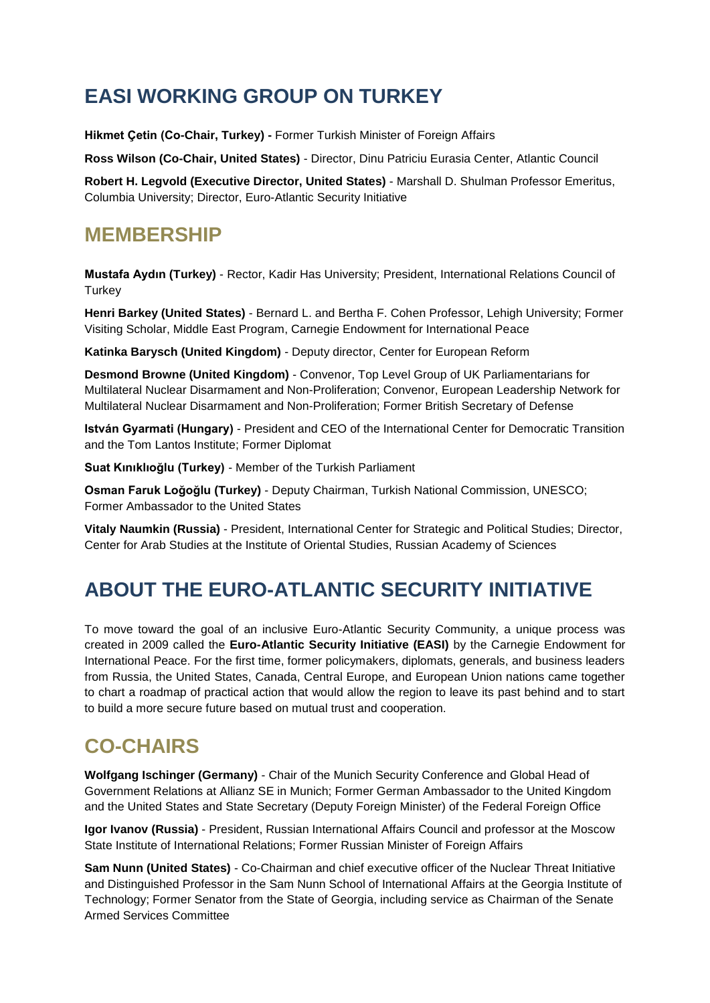## **EASI WORKING GROUP ON TURKEY**

**Hikmet Çetin (Co-Chair, Turkey) -** Former Turkish Minister of Foreign Affairs

**Ross Wilson (Co-Chair, United States)** - Director, Dinu Patriciu Eurasia Center, Atlantic Council

**Robert H. Legvold (Executive Director, United States)** - Marshall D. Shulman Professor Emeritus, Columbia University; Director, Euro-Atlantic Security Initiative

#### **MEMBERSHIP**

**Mustafa Aydın (Turkey)** - Rector, Kadir Has University; President, International Relations Council of **Turkey** 

**Henri Barkey (United States)** - Bernard L. and Bertha F. Cohen Professor, Lehigh University; Former Visiting Scholar, Middle East Program, Carnegie Endowment for International Peace

**Katinka Barysch (United Kingdom)** - Deputy director, Center for European Reform

**Desmond Browne (United Kingdom)** - Convenor, Top Level Group of UK Parliamentarians for Multilateral Nuclear Disarmament and Non-Proliferation; Convenor, European Leadership Network for Multilateral Nuclear Disarmament and Non-Proliferation; Former British Secretary of Defense

**István Gyarmati (Hungary)** - President and CEO of the International Center for Democratic Transition and the Tom Lantos Institute; Former Diplomat

**Suat Kınıklıoğlu (Turkey)** - Member of the Turkish Parliament

**Osman Faruk Loğoğlu (Turkey)** - Deputy Chairman, Turkish National Commission, UNESCO; Former Ambassador to the United States

**Vitaly Naumkin (Russia)** - President, International Center for Strategic and Political Studies; Director, Center for Arab Studies at the Institute of Oriental Studies, Russian Academy of Sciences

# **ABOUT THE EURO-ATLANTIC SECURITY INITIATIVE**

To move toward the goal of an inclusive Euro-Atlantic Security Community, a unique process was created in 2009 called the **Euro-Atlantic Security Initiative (EASI)** by the Carnegie Endowment for International Peace. For the first time, former policymakers, diplomats, generals, and business leaders from Russia, the United States, Canada, Central Europe, and European Union nations came together to chart a roadmap of practical action that would allow the region to leave its past behind and to start to build a more secure future based on mutual trust and cooperation.

## **CO-CHAIRS**

**Wolfgang Ischinger (Germany)** - Chair of the Munich Security Conference and Global Head of Government Relations at Allianz SE in Munich; Former German Ambassador to the United Kingdom and the United States and State Secretary (Deputy Foreign Minister) of the Federal Foreign Office

**Igor Ivanov (Russia)** - President, Russian International Affairs Council and professor at the Moscow State Institute of International Relations; Former Russian Minister of Foreign Affairs

**Sam Nunn (United States)** - Co-Chairman and chief executive officer of the Nuclear Threat Initiative and Distinguished Professor in the Sam Nunn School of International Affairs at the Georgia Institute of Technology; Former Senator from the State of Georgia, including service as Chairman of the Senate Armed Services Committee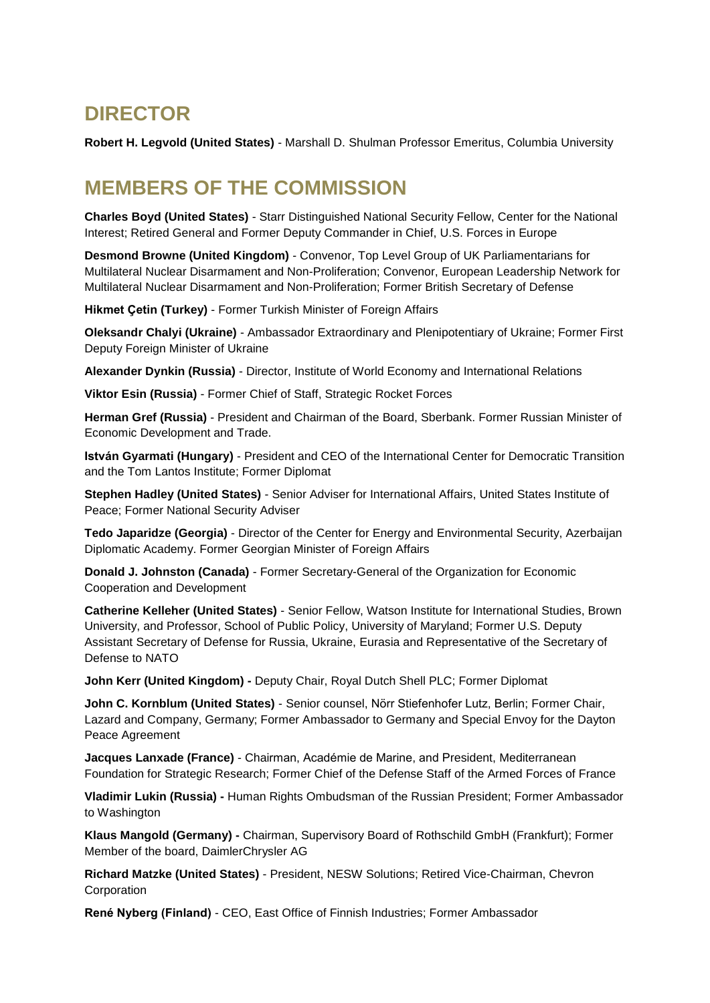#### **DIRECTOR**

**Robert H. Legvold (United States)** - Marshall D. Shulman Professor Emeritus, Columbia University

#### **MEMBERS OF THE COMMISSION**

**Charles Boyd (United States)** - Starr Distinguished National Security Fellow, Center for the National Interest; Retired General and Former Deputy Commander in Chief, U.S. Forces in Europe

**Desmond Browne (United Kingdom)** - Convenor, Top Level Group of UK Parliamentarians for Multilateral Nuclear Disarmament and Non-Proliferation; Convenor, European Leadership Network for Multilateral Nuclear Disarmament and Non-Proliferation; Former British Secretary of Defense

**Hikmet Çetin (Turkey)** - Former Turkish Minister of Foreign Affairs

**Oleksandr Chalyi (Ukraine)** - Ambassador Extraordinary and Plenipotentiary of Ukraine; Former First Deputy Foreign Minister of Ukraine

**Alexander Dynkin (Russia)** - Director, Institute of World Economy and International Relations

**Viktor Esin (Russia)** - Former Chief of Staff, Strategic Rocket Forces

**Herman Gref (Russia)** - President and Chairman of the Board, Sberbank. Former Russian Minister of Economic Development and Trade.

**István Gyarmati (Hungary)** - President and CEO of the International Center for Democratic Transition and the Tom Lantos Institute; Former Diplomat

**Stephen Hadley (United States)** - Senior Adviser for International Affairs, United States Institute of Peace; Former National Security Adviser

**Tedo Japaridze (Georgia)** - Director of the Center for Energy and Environmental Security, Azerbaijan Diplomatic Academy. Former Georgian Minister of Foreign Affairs

**Donald J. Johnston (Canada)** - Former Secretary-General of the Organization for Economic Cooperation and Development

**Catherine Kelleher (United States)** - Senior Fellow, Watson Institute for International Studies, Brown University, and Professor, School of Public Policy, University of Maryland; Former U.S. Deputy Assistant Secretary of Defense for Russia, Ukraine, Eurasia and Representative of the Secretary of Defense to NATO

**John Kerr (United Kingdom) -** Deputy Chair, Royal Dutch Shell PLC; Former Diplomat

**John C. Kornblum (United States)** - Senior counsel, Nörr Stiefenhofer Lutz, Berlin; Former Chair, Lazard and Company, Germany; Former Ambassador to Germany and Special Envoy for the Dayton Peace Agreement

**Jacques Lanxade (France)** - Chairman, Académie de Marine, and President, Mediterranean Foundation for Strategic Research; Former Chief of the Defense Staff of the Armed Forces of France

**Vladimir Lukin (Russia) -** Human Rights Ombudsman of the Russian President; Former Ambassador to Washington

**Klaus Mangold (Germany) -** Chairman, Supervisory Board of Rothschild GmbH (Frankfurt); Former Member of the board, DaimlerChrysler AG

**Richard Matzke (United States)** - President, NESW Solutions; Retired Vice-Chairman, Chevron Corporation

**René Nyberg (Finland)** - CEO, East Office of Finnish Industries; Former Ambassador